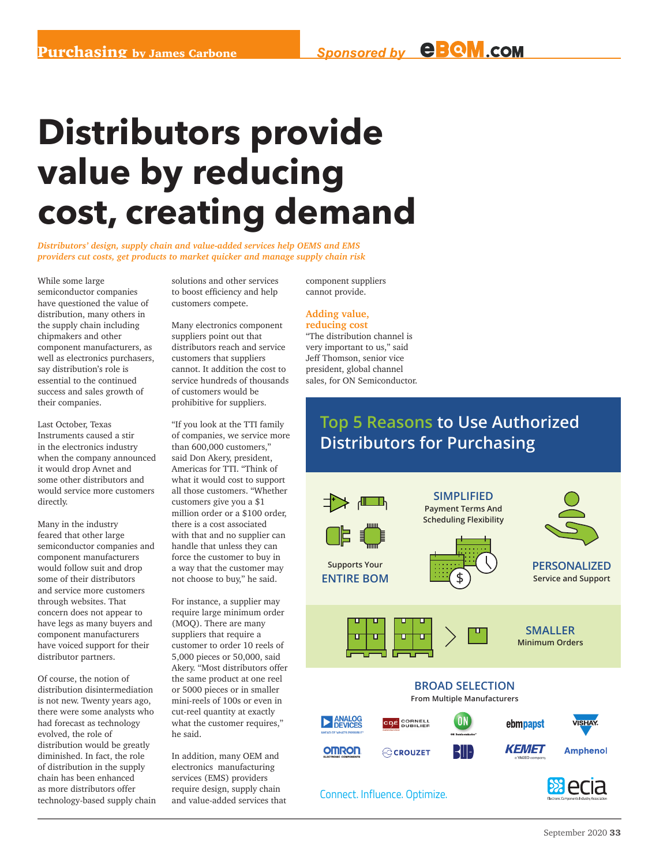# **Distributors provide value by reducing cost, creating demand**

*Distributors' design, supply chain and value-added services help OEMS and EMS providers cut costs, get products to market quicker and manage supply chain risk*

While some large semiconductor companies have questioned the value of distribution, many others in the supply chain including chipmakers and other component manufacturers, as well as electronics purchasers, say distribution's role is essential to the continued success and sales growth of their companies.

Last October, Texas Instruments caused a stir in the electronics industry when the company announced it would drop Avnet and some other distributors and would service more customers directly.

Many in the industry feared that other large semiconductor companies and component manufacturers would follow suit and drop some of their distributors and service more customers through websites. That concern does not appear to have legs as many buyers and component manufacturers have voiced support for their distributor partners.

Of course, the notion of distribution disintermediation is not new. Twenty years ago, there were some analysts who had forecast as technology evolved, the role of distribution would be greatly diminished. In fact, the role of distribution in the supply chain has been enhanced as more distributors offer technology-based supply chain solutions and other services to boost efficiency and help customers compete.

Many electronics component suppliers point out that distributors reach and service customers that suppliers cannot. It addition the cost to service hundreds of thousands of customers would be prohibitive for suppliers.

"If you look at the TTI family of companies, we service more than 600,000 customers," said Don Akery, president, Americas for TTI. "Think of what it would cost to support all those customers. "Whether customers give you a \$1 million order or a \$100 order, there is a cost associated with that and no supplier can handle that unless they can force the customer to buy in a way that the customer may not choose to buy," he said.

For instance, a supplier may require large minimum order (MOQ). There are many suppliers that require a customer to order 10 reels of 5,000 pieces or 50,000, said Akery. "Most distributors offer the same product at one reel or 5000 pieces or in smaller mini-reels of 100s or even in cut-reel quantity at exactly what the customer requires," he said.

In addition, many OEM and electronics manufacturing services (EMS) providers require design, supply chain and value-added services that component suppliers cannot provide.

#### **Adding value, reducing cost**

"The distribution channel is very important to us," said Jeff Thomson, senior vice president, global channel sales, for ON Semiconductor.

## **Top 5 Reasons to Use Authorized Distributors for Purchasing**

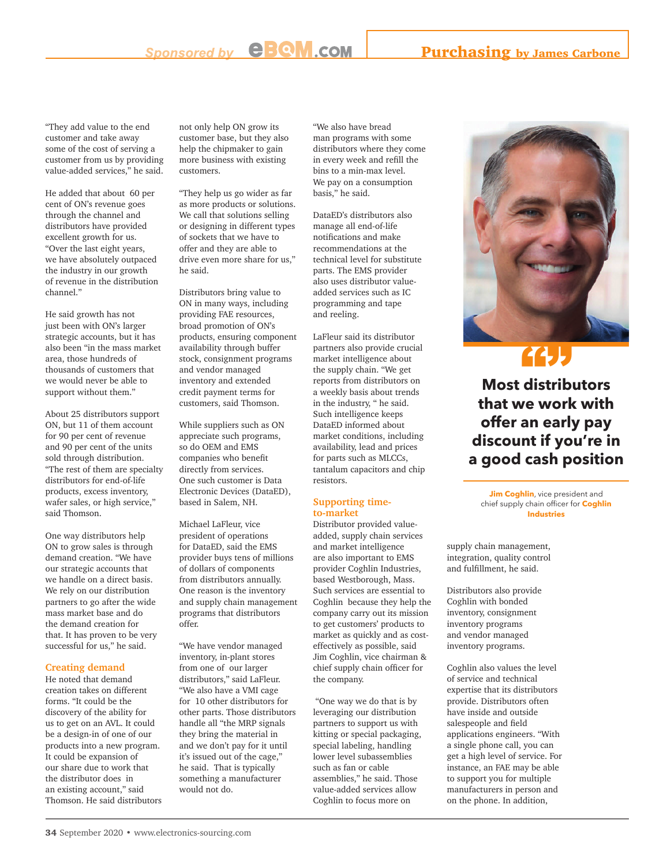"They add value to the end customer and take away some of the cost of serving a customer from us by providing value-added services," he said.

He added that about 60 per cent of ON's revenue goes through the channel and distributors have provided excellent growth for us. "Over the last eight years, we have absolutely outpaced the industry in our growth of revenue in the distribution channel."

He said growth has not just been with ON's larger strategic accounts, but it has also been "in the mass market area, those hundreds of thousands of customers that we would never be able to support without them."

About 25 distributors support ON, but 11 of them account for 90 per cent of revenue and 90 per cent of the units sold through distribution. "The rest of them are specialty distributors for end-of-life products, excess inventory, wafer sales, or high service," said Thomson.

One way distributors help ON to grow sales is through demand creation. "We have our strategic accounts that we handle on a direct basis. We rely on our distribution partners to go after the wide mass market base and do the demand creation for that. It has proven to be very successful for us," he said.

#### **Creating demand**

He noted that demand creation takes on different forms. "It could be the discovery of the ability for us to get on an AVL. It could be a design-in of one of our products into a new program. It could be expansion of our share due to work that the distributor does in an existing account," said Thomson. He said distributors

not only help ON grow its customer base, but they also help the chipmaker to gain more business with existing customers.

"They help us go wider as far as more products or solutions. We call that solutions selling or designing in different types of sockets that we have to offer and they are able to drive even more share for us," he said.

Distributors bring value to ON in many ways, including providing FAE resources, broad promotion of ON's products, ensuring component availability through buffer stock, consignment programs and vendor managed inventory and extended credit payment terms for customers, said Thomson.

While suppliers such as ON appreciate such programs, so do OEM and EMS companies who benefit directly from services. One such customer is Data Electronic Devices (DataED), based in Salem, NH.

Michael LaFleur, vice president of operations for DataED, said the EMS provider buys tens of millions of dollars of components from distributors annually. One reason is the inventory and supply chain management programs that distributors offer.

"We have vendor managed inventory, in-plant stores from one of our larger distributors," said LaFleur. "We also have a VMI cage for 10 other distributors for other parts. Those distributors handle all "the MRP signals they bring the material in and we don't pay for it until it's issued out of the cage," he said. That is typically something a manufacturer would not do.

"We also have bread man programs with some distributors where they come in every week and refill the bins to a min-max level. We pay on a consumption basis," he said.

DataED's distributors also manage all end-of-life notifications and make recommendations at the technical level for substitute parts. The EMS provider also uses distributor valueadded services such as IC programming and tape and reeling.

LaFleur said its distributor partners also provide crucial market intelligence about the supply chain. "We get reports from distributors on a weekly basis about trends in the industry, " he said. Such intelligence keeps DataED informed about market conditions, including availability, lead and prices for parts such as MLCCs, tantalum capacitors and chip resistors.

#### **Supporting timeto-market**

Distributor provided valueadded, supply chain services and market intelligence are also important to EMS provider Coghlin Industries, based Westborough, Mass. Such services are essential to Coghlin because they help the company carry out its mission to get customers' products to market as quickly and as costeffectively as possible, said Jim Coghlin, vice chairman & chief supply chain officer for the company.

 "One way we do that is by leveraging our distribution partners to support us with kitting or special packaging, special labeling, handling lower level subassemblies such as fan or cable assemblies," he said. Those value-added services allow Coghlin to focus more on



# **" " " "**

**Most distributors that we work with offer an early pay discount if you're in a good cash position**

**Jim Coghlin**, vice president and chief supply chain officer for **Coghlin Industries**

supply chain management, integration, quality control and fulfillment, he said.

Distributors also provide Coghlin with bonded inventory, consignment inventory programs and vendor managed inventory programs.

Coghlin also values the level of service and technical expertise that its distributors provide. Distributors often have inside and outside salespeople and field applications engineers. "With a single phone call, you can get a high level of service. For instance, an FAE may be able to support you for multiple manufacturers in person and on the phone. In addition,